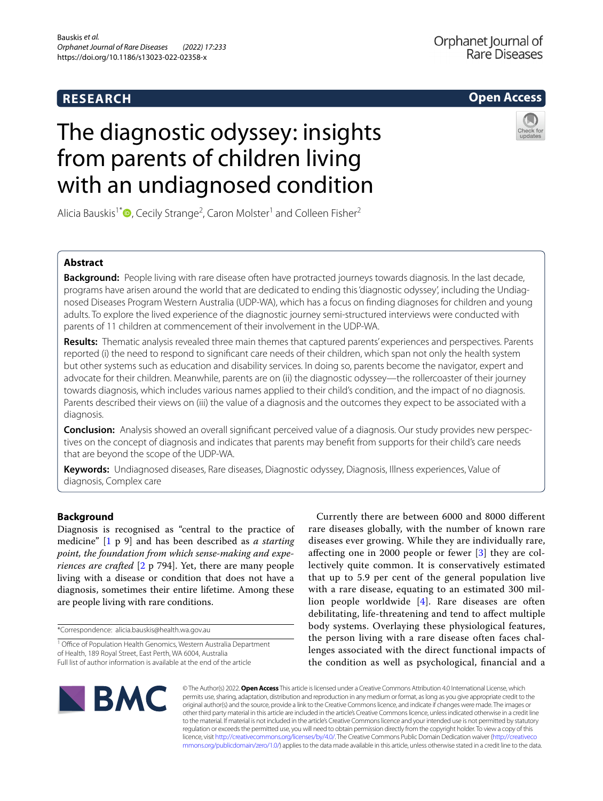## **RESEARCH**

**Open Access**

# The diagnostic odyssey: insights from parents of children living with an undiagnosed condition



Alicia Bauskis<sup>1[\\*](http://orcid.org/0000-0001-7576-5436)</sup><sup>®</sup>, Cecily Strange<sup>2</sup>, Caron Molster<sup>1</sup> and Colleen Fisher<sup>2</sup>

## **Abstract**

**Background:** People living with rare disease often have protracted journeys towards diagnosis. In the last decade, programs have arisen around the world that are dedicated to ending this 'diagnostic odyssey', including the Undiagnosed Diseases Program Western Australia (UDP-WA), which has a focus on fnding diagnoses for children and young adults. To explore the lived experience of the diagnostic journey semi-structured interviews were conducted with parents of 11 children at commencement of their involvement in the UDP-WA.

**Results:** Thematic analysis revealed three main themes that captured parents' experiences and perspectives. Parents reported (i) the need to respond to signifcant care needs of their children, which span not only the health system but other systems such as education and disability services. In doing so, parents become the navigator, expert and advocate for their children. Meanwhile, parents are on (ii) the diagnostic odyssey—the rollercoaster of their journey towards diagnosis, which includes various names applied to their child's condition, and the impact of no diagnosis. Parents described their views on (iii) the value of a diagnosis and the outcomes they expect to be associated with a diagnosis.

**Conclusion:** Analysis showed an overall signifcant perceived value of a diagnosis. Our study provides new perspectives on the concept of diagnosis and indicates that parents may beneft from supports for their child's care needs that are beyond the scope of the UDP-WA.

**Keywords:** Undiagnosed diseases, Rare diseases, Diagnostic odyssey, Diagnosis, Illness experiences, Value of diagnosis, Complex care

## **Background**

Diagnosis is recognised as "central to the practice of medicine" [[1](#page-12-0) p 9] and has been described as *a starting point, the foundation from which sense-making and experiences are crafted* [[2](#page-12-1) p 794]. Yet, there are many people living with a disease or condition that does not have a diagnosis, sometimes their entire lifetime. Among these are people living with rare conditions.

Currently there are between 6000 and 8000 diferent rare diseases globally, with the number of known rare diseases ever growing. While they are individually rare, afecting one in 2000 people or fewer [[3\]](#page-12-2) they are collectively quite common. It is conservatively estimated that up to 5.9 per cent of the general population live with a rare disease, equating to an estimated 300 million people worldwide [[4](#page-12-3)]. Rare diseases are often debilitating, life-threatening and tend to afect multiple body systems. Overlaying these physiological features, the person living with a rare disease often faces challenges associated with the direct functional impacts of the condition as well as psychological, fnancial and a



© The Author(s) 2022. **Open Access** This article is licensed under a Creative Commons Attribution 4.0 International License, which permits use, sharing, adaptation, distribution and reproduction in any medium or format, as long as you give appropriate credit to the original author(s) and the source, provide a link to the Creative Commons licence, and indicate if changes were made. The images or other third party material in this article are included in the article's Creative Commons licence, unless indicated otherwise in a credit line to the material. If material is not included in the article's Creative Commons licence and your intended use is not permitted by statutory regulation or exceeds the permitted use, you will need to obtain permission directly from the copyright holder. To view a copy of this licence, visit [http://creativecommons.org/licenses/by/4.0/.](http://creativecommons.org/licenses/by/4.0/) The Creative Commons Public Domain Dedication waiver ([http://creativeco](http://creativecommons.org/publicdomain/zero/1.0/) [mmons.org/publicdomain/zero/1.0/](http://creativecommons.org/publicdomain/zero/1.0/)) applies to the data made available in this article, unless otherwise stated in a credit line to the data.

<sup>\*</sup>Correspondence: alicia.bauskis@health.wa.gov.au

<sup>&</sup>lt;sup>1</sup> Office of Population Health Genomics, Western Australia Department of Health, 189 Royal Street, East Perth, WA 6004, Australia Full list of author information is available at the end of the article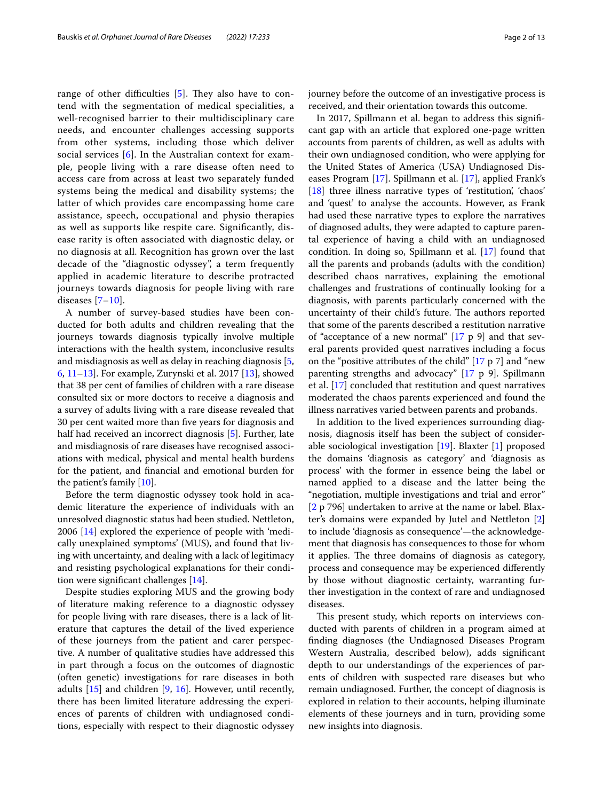range of other difficulties  $[5]$  $[5]$  $[5]$ . They also have to contend with the segmentation of medical specialities, a well-recognised barrier to their multidisciplinary care needs, and encounter challenges accessing supports from other systems, including those which deliver social services [\[6](#page-12-5)]. In the Australian context for example, people living with a rare disease often need to access care from across at least two separately funded systems being the medical and disability systems; the latter of which provides care encompassing home care assistance, speech, occupational and physio therapies as well as supports like respite care. Signifcantly, disease rarity is often associated with diagnostic delay, or no diagnosis at all. Recognition has grown over the last decade of the "diagnostic odyssey", a term frequently applied in academic literature to describe protracted journeys towards diagnosis for people living with rare diseases  $[7-10]$  $[7-10]$ .

A number of survey-based studies have been conducted for both adults and children revealing that the journeys towards diagnosis typically involve multiple interactions with the health system, inconclusive results and misdiagnosis as well as delay in reaching diagnosis [\[5](#page-12-4), [6,](#page-12-5) [11](#page-12-8)[–13\]](#page-12-9). For example, Zurynski et al. 2017 [[13\]](#page-12-9), showed that 38 per cent of families of children with a rare disease consulted six or more doctors to receive a diagnosis and a survey of adults living with a rare disease revealed that 30 per cent waited more than fve years for diagnosis and half had received an incorrect diagnosis [\[5](#page-12-4)]. Further, late and misdiagnosis of rare diseases have recognised associations with medical, physical and mental health burdens for the patient, and fnancial and emotional burden for the patient's family [\[10\]](#page-12-7).

Before the term diagnostic odyssey took hold in academic literature the experience of individuals with an unresolved diagnostic status had been studied. Nettleton, 2006 [[14\]](#page-12-10) explored the experience of people with 'medically unexplained symptoms' (MUS), and found that living with uncertainty, and dealing with a lack of legitimacy and resisting psychological explanations for their condition were signifcant challenges [[14\]](#page-12-10).

Despite studies exploring MUS and the growing body of literature making reference to a diagnostic odyssey for people living with rare diseases, there is a lack of literature that captures the detail of the lived experience of these journeys from the patient and carer perspective. A number of qualitative studies have addressed this in part through a focus on the outcomes of diagnostic (often genetic) investigations for rare diseases in both adults [[15\]](#page-12-11) and children [\[9,](#page-12-12) [16](#page-12-13)]. However, until recently, there has been limited literature addressing the experiences of parents of children with undiagnosed conditions, especially with respect to their diagnostic odyssey journey before the outcome of an investigative process is received, and their orientation towards this outcome.

In 2017, Spillmann et al. began to address this signifcant gap with an article that explored one-page written accounts from parents of children, as well as adults with their own undiagnosed condition, who were applying for the United States of America (USA) Undiagnosed Diseases Program [[17](#page-12-14)]. Spillmann et al. [[17\]](#page-12-14), applied Frank's [[18\]](#page-12-15) three illness narrative types of 'restitution', 'chaos' and 'quest' to analyse the accounts. However, as Frank had used these narrative types to explore the narratives of diagnosed adults, they were adapted to capture parental experience of having a child with an undiagnosed condition. In doing so, Spillmann et al. [[17\]](#page-12-14) found that all the parents and probands (adults with the condition) described chaos narratives, explaining the emotional challenges and frustrations of continually looking for a diagnosis, with parents particularly concerned with the uncertainty of their child's future. The authors reported that some of the parents described a restitution narrative of "acceptance of a new normal" [\[17](#page-12-14) p 9] and that several parents provided quest narratives including a focus on the "positive attributes of the child" [\[17](#page-12-14) p 7] and "new parenting strengths and advocacy" [[17](#page-12-14) p 9]. Spillmann et al. [\[17](#page-12-14)] concluded that restitution and quest narratives moderated the chaos parents experienced and found the illness narratives varied between parents and probands.

In addition to the lived experiences surrounding diagnosis, diagnosis itself has been the subject of considerable sociological investigation [[19](#page-12-16)]. Blaxter [[1\]](#page-12-0) proposed the domains 'diagnosis as category' and 'diagnosis as process' with the former in essence being the label or named applied to a disease and the latter being the "negotiation, multiple investigations and trial and error" [[2](#page-12-1) p 796] undertaken to arrive at the name or label. Blaxter's domains were expanded by Jutel and Nettleton [\[2](#page-12-1)] to include 'diagnosis as consequence'—the acknowledgement that diagnosis has consequences to those for whom it applies. The three domains of diagnosis as category, process and consequence may be experienced diferently by those without diagnostic certainty, warranting further investigation in the context of rare and undiagnosed diseases.

This present study, which reports on interviews conducted with parents of children in a program aimed at fnding diagnoses (the Undiagnosed Diseases Program Western Australia, described below), adds signifcant depth to our understandings of the experiences of parents of children with suspected rare diseases but who remain undiagnosed. Further, the concept of diagnosis is explored in relation to their accounts, helping illuminate elements of these journeys and in turn, providing some new insights into diagnosis.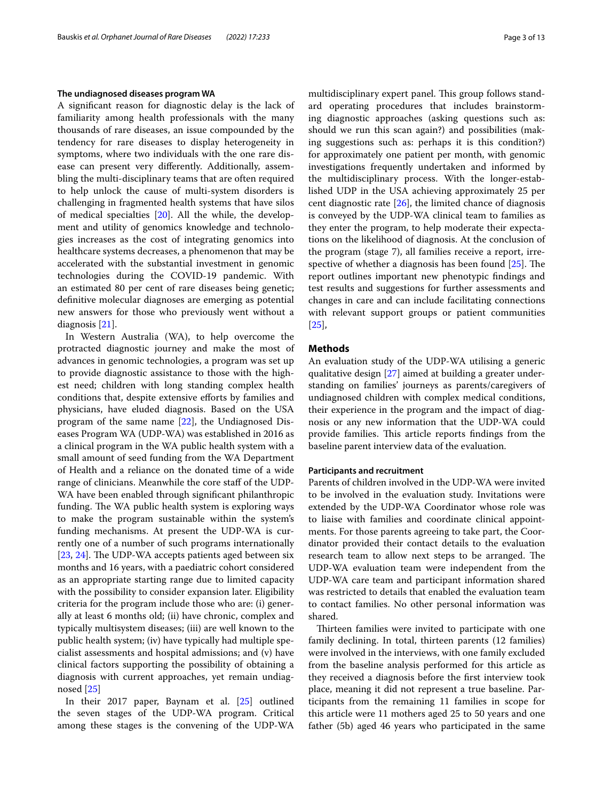## **The undiagnosed diseases program WA**

A signifcant reason for diagnostic delay is the lack of familiarity among health professionals with the many thousands of rare diseases, an issue compounded by the tendency for rare diseases to display heterogeneity in symptoms, where two individuals with the one rare disease can present very diferently. Additionally, assembling the multi-disciplinary teams that are often required to help unlock the cause of multi-system disorders is challenging in fragmented health systems that have silos of medical specialties [[20](#page-12-17)]. All the while, the development and utility of genomics knowledge and technologies increases as the cost of integrating genomics into healthcare systems decreases, a phenomenon that may be accelerated with the substantial investment in genomic technologies during the COVID-19 pandemic. With an estimated 80 per cent of rare diseases being genetic; defnitive molecular diagnoses are emerging as potential new answers for those who previously went without a diagnosis [\[21](#page-12-18)].

In Western Australia (WA), to help overcome the protracted diagnostic journey and make the most of advances in genomic technologies, a program was set up to provide diagnostic assistance to those with the highest need; children with long standing complex health conditions that, despite extensive efforts by families and physicians, have eluded diagnosis. Based on the USA program of the same name [\[22](#page-12-19)], the Undiagnosed Diseases Program WA (UDP-WA) was established in 2016 as a clinical program in the WA public health system with a small amount of seed funding from the WA Department of Health and a reliance on the donated time of a wide range of clinicians. Meanwhile the core staff of the UDP-WA have been enabled through signifcant philanthropic funding. The WA public health system is exploring ways to make the program sustainable within the system's funding mechanisms. At present the UDP-WA is currently one of a number of such programs internationally [[23,](#page-12-20) [24](#page-12-21)]. The UDP-WA accepts patients aged between six months and 16 years, with a paediatric cohort considered as an appropriate starting range due to limited capacity with the possibility to consider expansion later. Eligibility criteria for the program include those who are: (i) generally at least 6 months old; (ii) have chronic, complex and typically multisystem diseases; (iii) are well known to the public health system; (iv) have typically had multiple specialist assessments and hospital admissions; and (v) have clinical factors supporting the possibility of obtaining a diagnosis with current approaches, yet remain undiagnosed [[25](#page-12-22)]

In their 2017 paper, Baynam et al. [[25\]](#page-12-22) outlined the seven stages of the UDP-WA program. Critical among these stages is the convening of the UDP-WA multidisciplinary expert panel. This group follows standard operating procedures that includes brainstorming diagnostic approaches (asking questions such as: should we run this scan again?) and possibilities (making suggestions such as: perhaps it is this condition?) for approximately one patient per month, with genomic investigations frequently undertaken and informed by the multidisciplinary process. With the longer-established UDP in the USA achieving approximately 25 per cent diagnostic rate [[26\]](#page-12-23), the limited chance of diagnosis is conveyed by the UDP-WA clinical team to families as they enter the program, to help moderate their expectations on the likelihood of diagnosis. At the conclusion of the program (stage 7), all families receive a report, irrespective of whether a diagnosis has been found  $[25]$ . The report outlines important new phenotypic fndings and test results and suggestions for further assessments and changes in care and can include facilitating connections with relevant support groups or patient communities [[25\]](#page-12-22),

## **Methods**

An evaluation study of the UDP-WA utilising a generic qualitative design [\[27](#page-12-24)] aimed at building a greater understanding on families' journeys as parents/caregivers of undiagnosed children with complex medical conditions, their experience in the program and the impact of diagnosis or any new information that the UDP-WA could provide families. This article reports findings from the baseline parent interview data of the evaluation.

#### **Participants and recruitment**

Parents of children involved in the UDP-WA were invited to be involved in the evaluation study. Invitations were extended by the UDP-WA Coordinator whose role was to liaise with families and coordinate clinical appointments. For those parents agreeing to take part, the Coordinator provided their contact details to the evaluation research team to allow next steps to be arranged. The UDP-WA evaluation team were independent from the UDP-WA care team and participant information shared was restricted to details that enabled the evaluation team to contact families. No other personal information was shared.

Thirteen families were invited to participate with one family declining. In total, thirteen parents (12 families) were involved in the interviews, with one family excluded from the baseline analysis performed for this article as they received a diagnosis before the frst interview took place, meaning it did not represent a true baseline. Participants from the remaining 11 families in scope for this article were 11 mothers aged 25 to 50 years and one father (5b) aged 46 years who participated in the same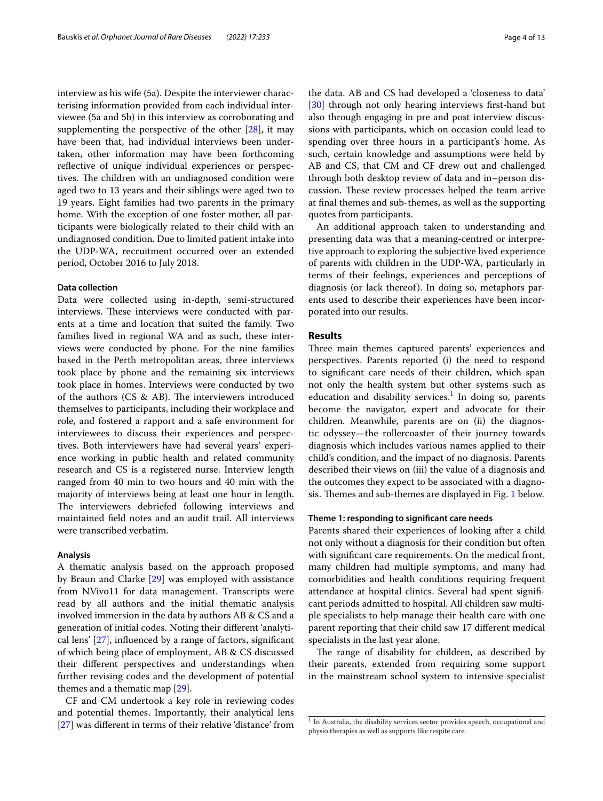interview as his wife (5a). Despite the interviewer characterising information provided from each individual interviewee (5a and 5b) in this interview as corroborating and supplementing the perspective of the other  $[28]$ , it may have been that, had individual interviews been undertaken, other information may have been forthcoming reflective of unique individual experiences or perspectives. The children with an undiagnosed condition were aged two to 13 years and their siblings were aged two to 19 years. Eight families had two parents in the primary home. With the exception of one foster mother, all participants were biologically related to their child with an undiagnosed condition. Due to limited patient intake into the UDP-WA, recruitment occurred over an extended period, October 2016 to July 2018.

## **Data collection**

Data were collected using in-depth, semi-structured interviews. These interviews were conducted with parents at a time and location that suited the family. Two families lived in regional WA and as such, these interviews were conducted by phone. For the nine families based in the Perth metropolitan areas, three interviews took place by phone and the remaining six interviews took place in homes. Interviews were conducted by two of the authors (CS & AB). The interviewers introduced themselves to participants, including their workplace and role, and fostered a rapport and a safe environment for interviewees to discuss their experiences and perspectives. Both interviewers have had several years' experience working in public health and related community research and CS is a registered nurse. Interview length ranged from 40 min to two hours and 40 min with the majority of interviews being at least one hour in length. The interviewers debriefed following interviews and maintained feld notes and an audit trail. All interviews were transcribed verbatim.

#### **Analysis**

A thematic analysis based on the approach proposed by Braun and Clarke [[29\]](#page-12-26) was employed with assistance from NVivo11 for data management. Transcripts were read by all authors and the initial thematic analysis involved immersion in the data by authors AB & CS and a generation of initial codes. Noting their diferent 'analytical lens' [\[27](#page-12-24)], infuenced by a range of factors, signifcant of which being place of employment, AB & CS discussed their diferent perspectives and understandings when further revising codes and the development of potential themes and a thematic map [\[29](#page-12-26)].

CF and CM undertook a key role in reviewing codes and potential themes. Importantly, their analytical lens [[27\]](#page-12-24) was diferent in terms of their relative 'distance' from the data. AB and CS had developed a 'closeness to data' [[30\]](#page-12-27) through not only hearing interviews first-hand but also through engaging in pre and post interview discussions with participants, which on occasion could lead to spending over three hours in a participant's home. As such, certain knowledge and assumptions were held by AB and CS, that CM and CF drew out and challenged through both desktop review of data and in–person discussion. These review processes helped the team arrive at fnal themes and sub-themes, as well as the supporting quotes from participants.

An additional approach taken to understanding and presenting data was that a meaning-centred or interpretive approach to exploring the subjective lived experience of parents with children in the UDP-WA, particularly in terms of their feelings, experiences and perceptions of diagnosis (or lack thereof). In doing so, metaphors parents used to describe their experiences have been incorporated into our results.

## **Results**

Three main themes captured parents' experiences and perspectives. Parents reported (i) the need to respond to signifcant care needs of their children, which span not only the health system but other systems such as education and disability services. $<sup>1</sup>$  $<sup>1</sup>$  $<sup>1</sup>$  In doing so, parents</sup> become the navigator, expert and advocate for their children. Meanwhile, parents are on (ii) the diagnostic odyssey—the rollercoaster of their journey towards diagnosis which includes various names applied to their child's condition, and the impact of no diagnosis. Parents described their views on (iii) the value of a diagnosis and the outcomes they expect to be associated with a diagno-sis. Themes and sub-themes are displayed in Fig. [1](#page-4-0) below.

## **Theme 1: responding to signifcant care needs**

Parents shared their experiences of looking after a child not only without a diagnosis for their condition but often with signifcant care requirements. On the medical front, many children had multiple symptoms, and many had comorbidities and health conditions requiring frequent attendance at hospital clinics. Several had spent signifcant periods admitted to hospital. All children saw multiple specialists to help manage their health care with one parent reporting that their child saw 17 diferent medical specialists in the last year alone.

The range of disability for children, as described by their parents, extended from requiring some support in the mainstream school system to intensive specialist

<span id="page-3-0"></span> $1$  In Australia, the disability services sector provides speech, occupational and physio therapies as well as supports like respite care.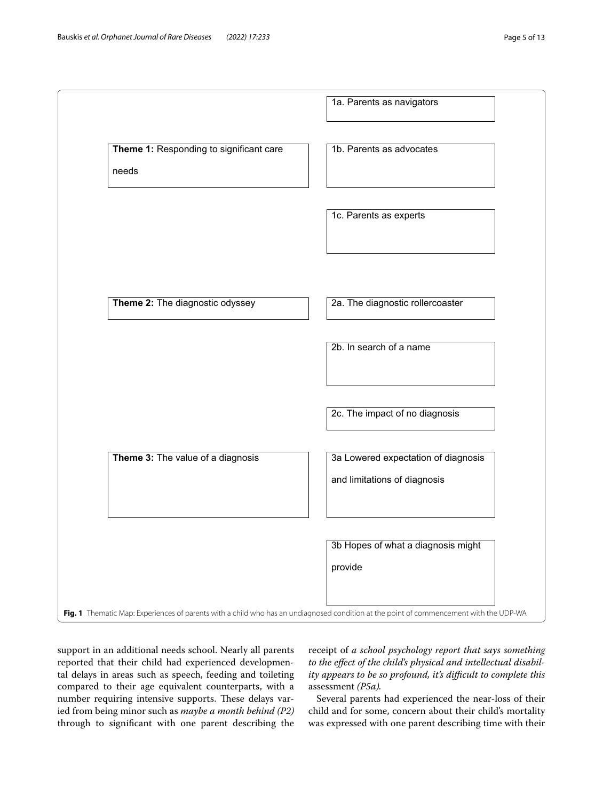

<span id="page-4-0"></span>support in an additional needs school. Nearly all parents reported that their child had experienced developmental delays in areas such as speech, feeding and toileting compared to their age equivalent counterparts, with a number requiring intensive supports. These delays varied from being minor such as *maybe a month behind (P2)* through to signifcant with one parent describing the

receipt of *a school psychology report that says something to the efect of the child's physical and intellectual disability appears to be so profound, it's difficult to complete this* assessment *(P5a).*

Several parents had experienced the near-loss of their child and for some, concern about their child's mortality was expressed with one parent describing time with their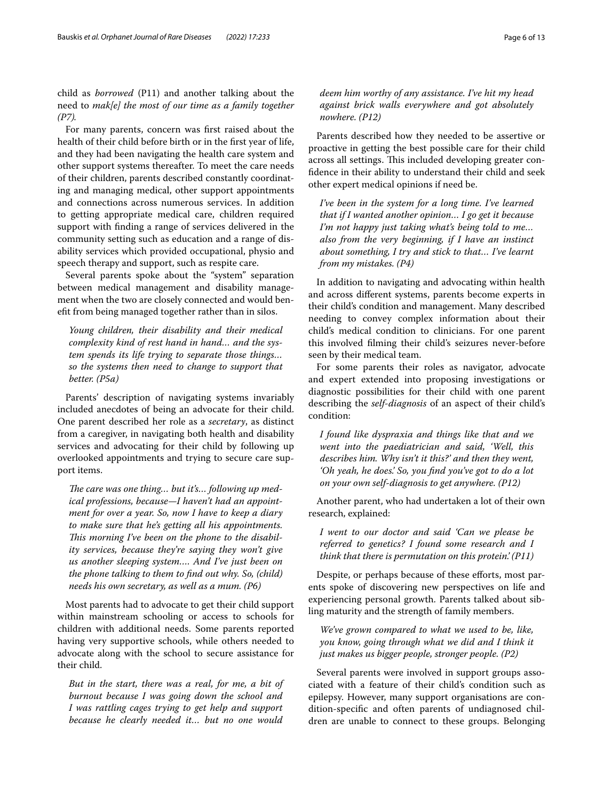child as *borrowed* (P11) and another talking about the need to *mak[e] the most of our time as a family together (P7).*

For many parents, concern was frst raised about the health of their child before birth or in the frst year of life, and they had been navigating the health care system and other support systems thereafter. To meet the care needs of their children, parents described constantly coordinating and managing medical, other support appointments and connections across numerous services. In addition to getting appropriate medical care, children required support with fnding a range of services delivered in the community setting such as education and a range of disability services which provided occupational, physio and speech therapy and support, such as respite care.

Several parents spoke about the "system" separation between medical management and disability management when the two are closely connected and would beneft from being managed together rather than in silos.

*Young children, their disability and their medical complexity kind of rest hand in hand… and the system spends its life trying to separate those things… so the systems then need to change to support that better. (P5a)*

Parents' description of navigating systems invariably included anecdotes of being an advocate for their child. One parent described her role as a *secretary*, as distinct from a caregiver, in navigating both health and disability services and advocating for their child by following up overlooked appointments and trying to secure care support items.

The care was one thing... but it's... following up med*ical professions, because—I haven't had an appointment for over a year. So, now I have to keep a diary to make sure that he's getting all his appointments.*  This morning I've been on the phone to the disabil*ity services, because they're saying they won't give us another sleeping system…. And I've just been on the phone talking to them to fnd out why. So, (child) needs his own secretary, as well as a mum. (P6)*

Most parents had to advocate to get their child support within mainstream schooling or access to schools for children with additional needs. Some parents reported having very supportive schools, while others needed to advocate along with the school to secure assistance for their child.

*But in the start, there was a real, for me, a bit of burnout because I was going down the school and I was rattling cages trying to get help and support because he clearly needed it… but no one would* 

*deem him worthy of any assistance. I've hit my head against brick walls everywhere and got absolutely nowhere. (P12)*

Parents described how they needed to be assertive or proactive in getting the best possible care for their child across all settings. This included developing greater confdence in their ability to understand their child and seek other expert medical opinions if need be.

*I've been in the system for a long time. I've learned that if I wanted another opinion… I go get it because I'm not happy just taking what's being told to me… also from the very beginning, if I have an instinct about something, I try and stick to that… I've learnt from my mistakes. (P4)*

In addition to navigating and advocating within health and across diferent systems, parents become experts in their child's condition and management. Many described needing to convey complex information about their child's medical condition to clinicians. For one parent this involved flming their child's seizures never-before seen by their medical team.

For some parents their roles as navigator, advocate and expert extended into proposing investigations or diagnostic possibilities for their child with one parent describing the *self-diagnosis* of an aspect of their child's condition:

*I found like dyspraxia and things like that and we went into the paediatrician and said, 'Well, this describes him. Why isn't it this?' and then they went, 'Oh yeah, he does.' So, you fnd you've got to do a lot on your own self-diagnosis to get anywhere. (P12)*

Another parent, who had undertaken a lot of their own research, explained:

*I went to our doctor and said 'Can we please be referred to genetics? I found some research and I think that there is permutation on this protein.' (P11)*

Despite, or perhaps because of these efforts, most parents spoke of discovering new perspectives on life and experiencing personal growth. Parents talked about sibling maturity and the strength of family members.

*We've grown compared to what we used to be, like, you know, going through what we did and I think it just makes us bigger people, stronger people. (P2)*

Several parents were involved in support groups associated with a feature of their child's condition such as epilepsy. However, many support organisations are condition-specifc and often parents of undiagnosed children are unable to connect to these groups. Belonging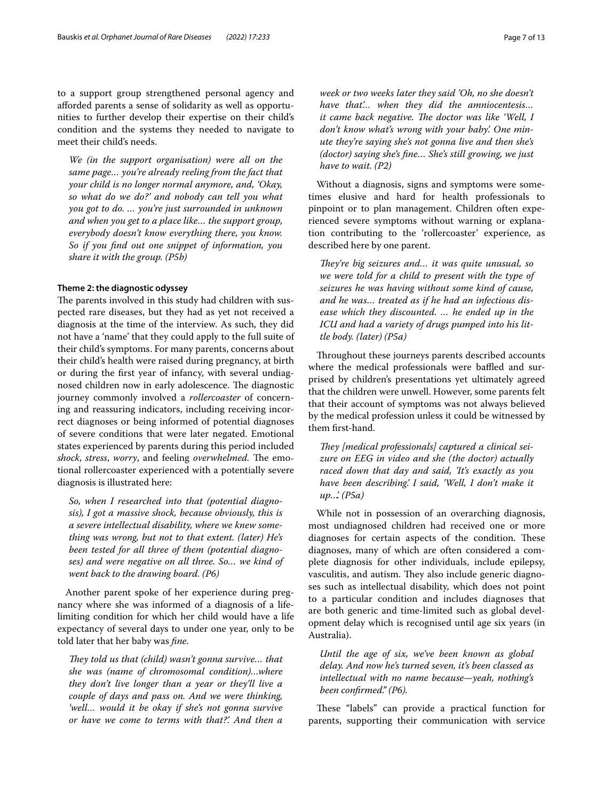to a support group strengthened personal agency and aforded parents a sense of solidarity as well as opportunities to further develop their expertise on their child's condition and the systems they needed to navigate to meet their child's needs.

*We (in the support organisation) were all on the same page… you're already reeling from the fact that your child is no longer normal anymore, and, 'Okay, so what do we do?' and nobody can tell you what you got to do. … you're just surrounded in unknown and when you get to a place like… the support group, everybody doesn't know everything there, you know. So if you fnd out one snippet of information, you share it with the group. (P5b)*

## **Theme 2: the diagnostic odyssey**

The parents involved in this study had children with suspected rare diseases, but they had as yet not received a diagnosis at the time of the interview. As such, they did not have a 'name' that they could apply to the full suite of their child's symptoms. For many parents, concerns about their child's health were raised during pregnancy, at birth or during the frst year of infancy, with several undiagnosed children now in early adolescence. The diagnostic journey commonly involved a *rollercoaster* of concerning and reassuring indicators, including receiving incorrect diagnoses or being informed of potential diagnoses of severe conditions that were later negated. Emotional states experienced by parents during this period included *shock, stress, worry, and feeling overwhelmed.* The emotional rollercoaster experienced with a potentially severe diagnosis is illustrated here:

*So, when I researched into that (potential diagnosis), I got a massive shock, because obviously, this is a severe intellectual disability, where we knew something was wrong, but not to that extent. (later) He's been tested for all three of them (potential diagnoses) and were negative on all three. So… we kind of went back to the drawing board. (P6)*

Another parent spoke of her experience during pregnancy where she was informed of a diagnosis of a lifelimiting condition for which her child would have a life expectancy of several days to under one year, only to be told later that her baby was *fne*.

*They told us that (child) wasn't gonna survive... that she was (name of chromosomal condition)…where they don't live longer than a year or they'll live a couple of days and pass on. And we were thinking, 'well… would it be okay if she's not gonna survive or have we come to terms with that?'. And then a* 

*week or two weeks later they said 'Oh, no she doesn't have that'… when they did the amniocentesis… it came back negative. The doctor was like 'Well, I don't know what's wrong with your baby'. One minute they're saying she's not gonna live and then she's (doctor) saying she's fne… She's still growing, we just have to wait. (P2)*

Without a diagnosis, signs and symptoms were sometimes elusive and hard for health professionals to pinpoint or to plan management. Children often experienced severe symptoms without warning or explanation contributing to the 'rollercoaster' experience, as described here by one parent.

*Tey're big seizures and… it was quite unusual, so we were told for a child to present with the type of seizures he was having without some kind of cause, and he was… treated as if he had an infectious disease which they discounted. … he ended up in the ICU and had a variety of drugs pumped into his little body. (later) (P5a)*

Throughout these journeys parents described accounts where the medical professionals were baffled and surprised by children's presentations yet ultimately agreed that the children were unwell. However, some parents felt that their account of symptoms was not always believed by the medical profession unless it could be witnessed by them frst-hand.

They [medical professionals] captured a clinical sei*zure on EEG in video and she (the doctor) actually raced down that day and said, 'It's exactly as you have been describing.' I said, 'Well, I don't make it up…'. (P5a)*

While not in possession of an overarching diagnosis, most undiagnosed children had received one or more diagnoses for certain aspects of the condition. These diagnoses, many of which are often considered a complete diagnosis for other individuals, include epilepsy, vasculitis, and autism. They also include generic diagnoses such as intellectual disability, which does not point to a particular condition and includes diagnoses that are both generic and time-limited such as global development delay which is recognised until age six years (in Australia).

*Until the age of six, we've been known as global delay. And now he's turned seven, it's been classed as intellectual with no name because—yeah, nothing's been confrmed." (P6).*

These "labels" can provide a practical function for parents, supporting their communication with service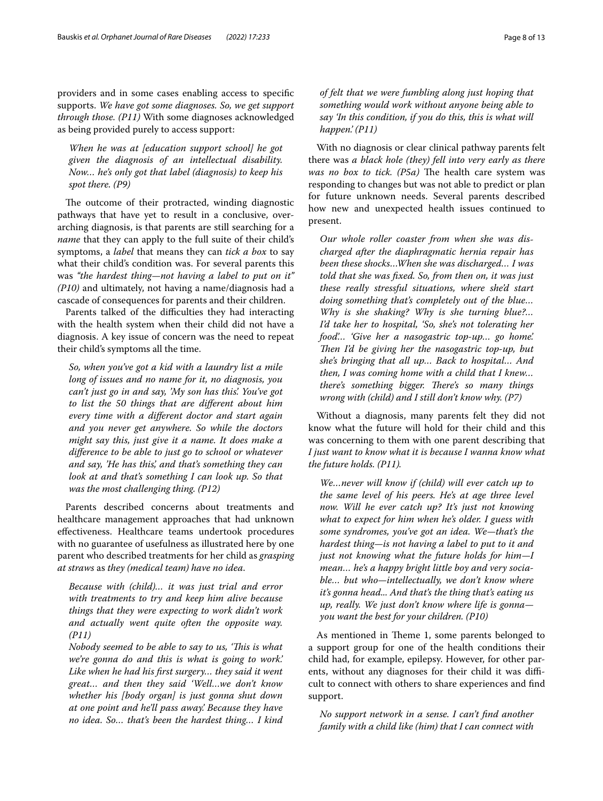providers and in some cases enabling access to specifc supports. *We have got some diagnoses. So, we get support through those. (P11)* With some diagnoses acknowledged as being provided purely to access support:

*When he was at [education support school] he got given the diagnosis of an intellectual disability. Now… he's only got that label (diagnosis) to keep his spot there. (P9)*

The outcome of their protracted, winding diagnostic pathways that have yet to result in a conclusive, overarching diagnosis, is that parents are still searching for a *name* that they can apply to the full suite of their child's symptoms, a *label* that means they can *tick a box* to say what their child's condition was. For several parents this was *"the hardest thing—not having a label to put on it" (P10)* and ultimately, not having a name/diagnosis had a cascade of consequences for parents and their children.

Parents talked of the difficulties they had interacting with the health system when their child did not have a diagnosis. A key issue of concern was the need to repeat their child's symptoms all the time.

*So, when you've got a kid with a laundry list a mile long of issues and no name for it, no diagnosis, you can't just go in and say, 'My son has this'. You've got to list the 50 things that are diferent about him every time with a diferent doctor and start again and you never get anywhere. So while the doctors might say this, just give it a name. It does make a diference to be able to just go to school or whatever and say, 'He has this', and that's something they can look at and that's something I can look up. So that was the most challenging thing. (P12)*

Parents described concerns about treatments and healthcare management approaches that had unknown efectiveness. Healthcare teams undertook procedures with no guarantee of usefulness as illustrated here by one parent who described treatments for her child as *grasping at straws* as *they (medical team) have no idea*.

*Because with (child)… it was just trial and error with treatments to try and keep him alive because things that they were expecting to work didn't work and actually went quite often the opposite way. (P11)*

*Nobody seemed to be able to say to us, 'Tis is what we're gonna do and this is what is going to work.' Like when he had his frst surgery… they said it went great… and then they said 'Well…we don't know whether his [body organ] is just gonna shut down at one point and he'll pass away.' Because they have no idea. So… that's been the hardest thing… I kind*  *of felt that we were fumbling along just hoping that something would work without anyone being able to say 'In this condition, if you do this, this is what will happen.' (P11)*

With no diagnosis or clear clinical pathway parents felt there was *a black hole (they) fell into very early as there was no box to tick. (P5a)* The health care system was responding to changes but was not able to predict or plan for future unknown needs. Several parents described how new and unexpected health issues continued to present.

*Our whole roller coaster from when she was discharged after the diaphragmatic hernia repair has been these shocks…When she was discharged… I was told that she was fxed. So, from then on, it was just these really stressful situations, where she'd start doing something that's completely out of the blue… Why is she shaking? Why is she turning blue?… I'd take her to hospital, 'So, she's not tolerating her food'… 'Give her a nasogastric top-up… go home'. Then I'd be giving her the nasogastric top-up, but she's bringing that all up… Back to hospital… And then, I was coming home with a child that I knew… there's something bigger. There's so many things wrong with (child) and I still don't know why. (P7)*

Without a diagnosis, many parents felt they did not know what the future will hold for their child and this was concerning to them with one parent describing that *I just want to know what it is because I wanna know what the future holds. (P11).*

*We…never will know if (child) will ever catch up to the same level of his peers. He's at age three level now. Will he ever catch up? It's just not knowing what to expect for him when he's older. I guess with some syndromes, you've got an idea. We—that's the hardest thing—is not having a label to put to it and just not knowing what the future holds for him—I mean… he's a happy bright little boy and very sociable… but who—intellectually, we don't know where it's gonna head... And that's the thing that's eating us up, really. We just don't know where life is gonna you want the best for your children. (P10)*

As mentioned in Theme 1, some parents belonged to a support group for one of the health conditions their child had, for example, epilepsy. However, for other parents, without any diagnoses for their child it was difficult to connect with others to share experiences and fnd support.

*No support network in a sense. I can't fnd another family with a child like (him) that I can connect with*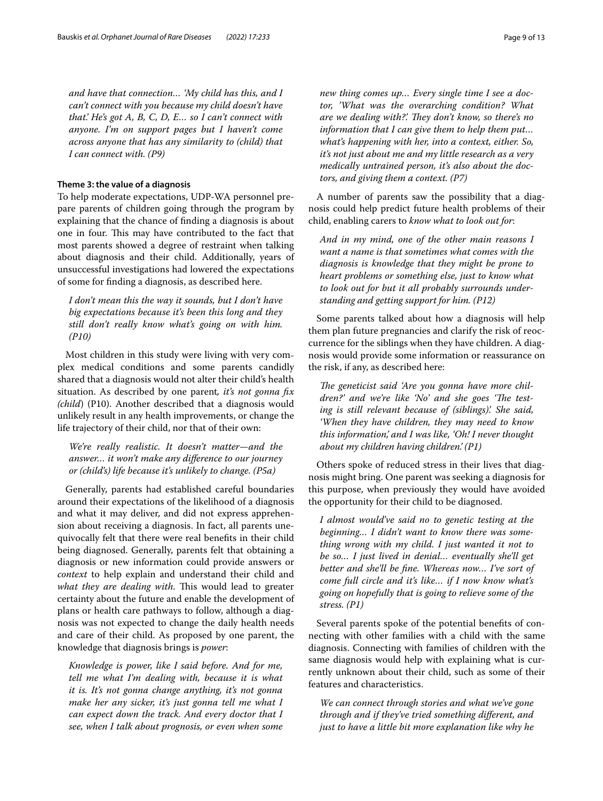*and have that connection… 'My child has this, and I can't connect with you because my child doesn't have that.' He's got A, B, C, D, E… so I can't connect with anyone. I'm on support pages but I haven't come across anyone that has any similarity to (child) that I can connect with. (P9)*

## **Theme 3: the value of a diagnosis**

To help moderate expectations, UDP-WA personnel prepare parents of children going through the program by explaining that the chance of fnding a diagnosis is about one in four. This may have contributed to the fact that most parents showed a degree of restraint when talking about diagnosis and their child. Additionally, years of unsuccessful investigations had lowered the expectations of some for fnding a diagnosis, as described here.

*I don't mean this the way it sounds, but I don't have big expectations because it's been this long and they still don't really know what's going on with him. (P10)*

Most children in this study were living with very complex medical conditions and some parents candidly shared that a diagnosis would not alter their child's health situation. As described by one parent*, it's not gonna fx (child*) (P10). Another described that a diagnosis would unlikely result in any health improvements, or change the life trajectory of their child, nor that of their own:

*We're really realistic. It doesn't matter—and the answer… it won't make any diference to our journey or (child's) life because it's unlikely to change. (P5a)*

Generally, parents had established careful boundaries around their expectations of the likelihood of a diagnosis and what it may deliver, and did not express apprehension about receiving a diagnosis. In fact, all parents unequivocally felt that there were real benefts in their child being diagnosed. Generally, parents felt that obtaining a diagnosis or new information could provide answers or *context* to help explain and understand their child and *what they are dealing with.* This would lead to greater certainty about the future and enable the development of plans or health care pathways to follow, although a diagnosis was not expected to change the daily health needs and care of their child. As proposed by one parent, the knowledge that diagnosis brings is *power*:

*Knowledge is power, like I said before. And for me, tell me what I'm dealing with, because it is what it is. It's not gonna change anything, it's not gonna make her any sicker, it's just gonna tell me what I can expect down the track. And every doctor that I see, when I talk about prognosis, or even when some* 

*new thing comes up… Every single time I see a doctor, 'What was the overarching condition? What are we dealing with?'. Tey don't know, so there's no information that I can give them to help them put… what's happening with her, into a context, either. So, it's not just about me and my little research as a very medically untrained person, it's also about the doctors, and giving them a context. (P7)*

A number of parents saw the possibility that a diagnosis could help predict future health problems of their child, enabling carers to *know what to look out for*:

*And in my mind, one of the other main reasons I want a name is that sometimes what comes with the diagnosis is knowledge that they might be prone to heart problems or something else, just to know what to look out for but it all probably surrounds understanding and getting support for him. (P12)*

Some parents talked about how a diagnosis will help them plan future pregnancies and clarify the risk of reoccurrence for the siblings when they have children. A diagnosis would provide some information or reassurance on the risk, if any, as described here:

The geneticist said 'Are you gonna have more children?' and we're like 'No' and she goes 'The test*ing is still relevant because of (siblings)'. She said, 'When they have children, they may need to know this information,' and I was like, 'Oh! I never thought about my children having children.' (P1)*

Others spoke of reduced stress in their lives that diagnosis might bring. One parent was seeking a diagnosis for this purpose, when previously they would have avoided the opportunity for their child to be diagnosed.

*I almost would've said no to genetic testing at the beginning… I didn't want to know there was something wrong with my child. I just wanted it not to be so… I just lived in denial… eventually she'll get better and she'll be fne. Whereas now… I've sort of come full circle and it's like… if I now know what's going on hopefully that is going to relieve some of the stress. (P1)*

Several parents spoke of the potential benefts of connecting with other families with a child with the same diagnosis. Connecting with families of children with the same diagnosis would help with explaining what is currently unknown about their child, such as some of their features and characteristics.

*We can connect through stories and what we've gone through and if they've tried something diferent, and just to have a little bit more explanation like why he*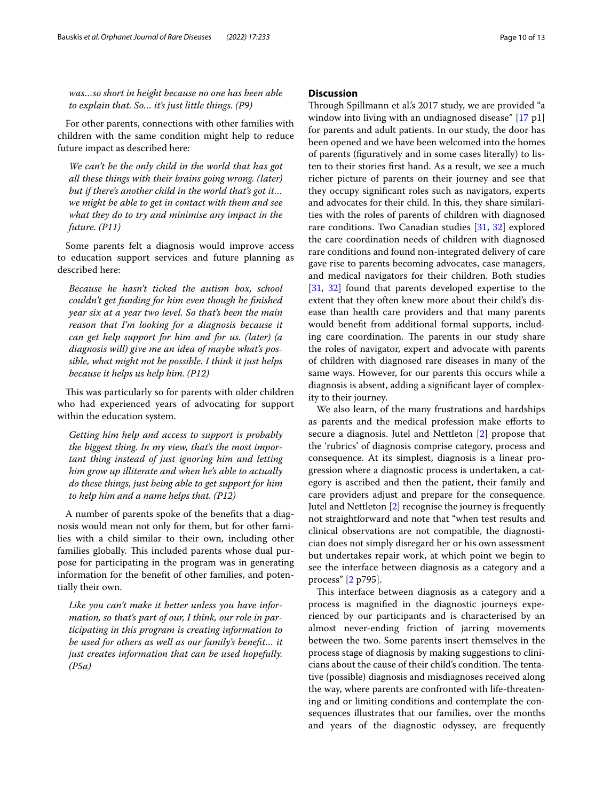*was…so short in height because no one has been able to explain that. So… it's just little things. (P9)*

For other parents, connections with other families with children with the same condition might help to reduce future impact as described here:

*We can't be the only child in the world that has got all these things with their brains going wrong. (later) but if there's another child in the world that's got it… we might be able to get in contact with them and see what they do to try and minimise any impact in the future. (P11)*

Some parents felt a diagnosis would improve access to education support services and future planning as described here:

*Because he hasn't ticked the autism box, school couldn't get funding for him even though he fnished year six at a year two level. So that's been the main reason that I'm looking for a diagnosis because it can get help support for him and for us. (later) (a diagnosis will) give me an idea of maybe what's possible, what might not be possible. I think it just helps because it helps us help him. (P12)*

This was particularly so for parents with older children who had experienced years of advocating for support within the education system.

*Getting him help and access to support is probably the biggest thing. In my view, that's the most important thing instead of just ignoring him and letting him grow up illiterate and when he's able to actually do these things, just being able to get support for him to help him and a name helps that. (P12)*

A number of parents spoke of the benefts that a diagnosis would mean not only for them, but for other families with a child similar to their own, including other families globally. This included parents whose dual purpose for participating in the program was in generating information for the beneft of other families, and potentially their own.

*Like you can't make it better unless you have information, so that's part of our, I think, our role in participating in this program is creating information to be used for others as well as our family's beneft… it just creates information that can be used hopefully. (P5a)*

## **Discussion**

Through Spillmann et al.'s 2017 study, we are provided "a window into living with an undiagnosed disease" [[17](#page-12-14) p1] for parents and adult patients. In our study, the door has been opened and we have been welcomed into the homes of parents (fguratively and in some cases literally) to listen to their stories frst hand. As a result, we see a much richer picture of parents on their journey and see that they occupy signifcant roles such as navigators, experts and advocates for their child. In this, they share similarities with the roles of parents of children with diagnosed rare conditions. Two Canadian studies [\[31](#page-12-28), [32\]](#page-12-29) explored the care coordination needs of children with diagnosed rare conditions and found non-integrated delivery of care gave rise to parents becoming advocates, case managers, and medical navigators for their children. Both studies [[31,](#page-12-28) [32](#page-12-29)] found that parents developed expertise to the extent that they often knew more about their child's disease than health care providers and that many parents would beneft from additional formal supports, including care coordination. The parents in our study share the roles of navigator, expert and advocate with parents of children with diagnosed rare diseases in many of the same ways. However, for our parents this occurs while a diagnosis is absent, adding a signifcant layer of complexity to their journey.

We also learn, of the many frustrations and hardships as parents and the medical profession make eforts to secure a diagnosis. Jutel and Nettleton [[2\]](#page-12-1) propose that the 'rubrics' of diagnosis comprise category, process and consequence. At its simplest, diagnosis is a linear progression where a diagnostic process is undertaken, a category is ascribed and then the patient, their family and care providers adjust and prepare for the consequence. Jutel and Nettleton [\[2](#page-12-1)] recognise the journey is frequently not straightforward and note that "when test results and clinical observations are not compatible, the diagnostician does not simply disregard her or his own assessment but undertakes repair work, at which point we begin to see the interface between diagnosis as a category and a process" [[2](#page-12-1) p795].

This interface between diagnosis as a category and a process is magnifed in the diagnostic journeys experienced by our participants and is characterised by an almost never-ending friction of jarring movements between the two. Some parents insert themselves in the process stage of diagnosis by making suggestions to clinicians about the cause of their child's condition. The tentative (possible) diagnosis and misdiagnoses received along the way, where parents are confronted with life-threatening and or limiting conditions and contemplate the consequences illustrates that our families, over the months and years of the diagnostic odyssey, are frequently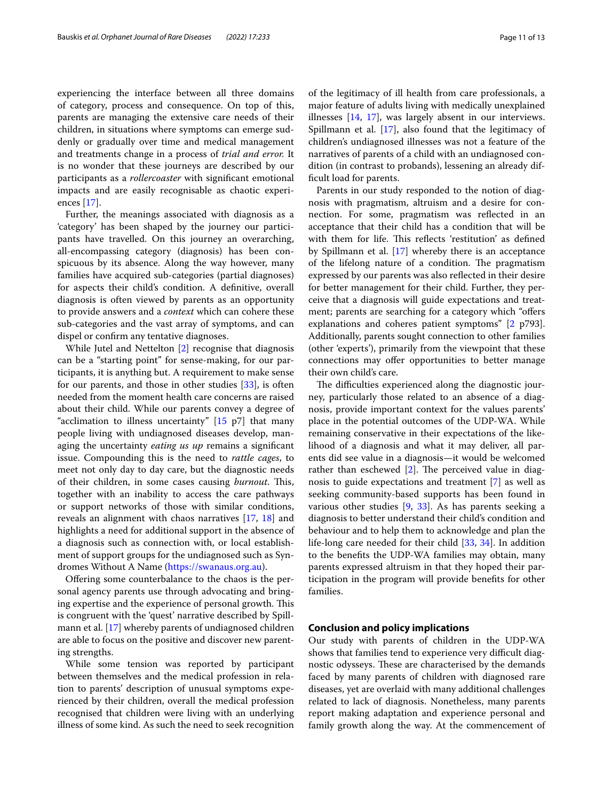experiencing the interface between all three domains of category, process and consequence. On top of this, parents are managing the extensive care needs of their children, in situations where symptoms can emerge suddenly or gradually over time and medical management and treatments change in a process of *trial and error.* It is no wonder that these journeys are described by our participants as a *rollercoaster* with signifcant emotional impacts and are easily recognisable as chaotic experiences [[17\]](#page-12-14).

Further, the meanings associated with diagnosis as a 'category' has been shaped by the journey our participants have travelled. On this journey an overarching, all-encompassing category (diagnosis) has been conspicuous by its absence. Along the way however, many families have acquired sub-categories (partial diagnoses) for aspects their child's condition. A defnitive, overall diagnosis is often viewed by parents as an opportunity to provide answers and a *context* which can cohere these sub-categories and the vast array of symptoms, and can dispel or confrm any tentative diagnoses.

While Jutel and Nettelton [[2\]](#page-12-1) recognise that diagnosis can be a "starting point" for sense-making, for our participants, it is anything but. A requirement to make sense for our parents, and those in other studies [[33\]](#page-12-30), is often needed from the moment health care concerns are raised about their child. While our parents convey a degree of "acclimation to illness uncertainty"  $[15 \text{ p7}]$  $[15 \text{ p7}]$  that many people living with undiagnosed diseases develop, managing the uncertainty *eating us up* remains a signifcant issue. Compounding this is the need to *rattle cages*, to meet not only day to day care, but the diagnostic needs of their children, in some cases causing *burnout*. This, together with an inability to access the care pathways or support networks of those with similar conditions, reveals an alignment with chaos narratives [\[17,](#page-12-14) [18\]](#page-12-15) and highlights a need for additional support in the absence of a diagnosis such as connection with, or local establishment of support groups for the undiagnosed such as Syndromes Without A Name ([https://swanaus.org.au\)](https://swanaus.org.au).

Ofering some counterbalance to the chaos is the personal agency parents use through advocating and bringing expertise and the experience of personal growth. This is congruent with the 'quest' narrative described by Spillmann et al. [\[17\]](#page-12-14) whereby parents of undiagnosed children are able to focus on the positive and discover new parenting strengths.

While some tension was reported by participant between themselves and the medical profession in relation to parents' description of unusual symptoms experienced by their children, overall the medical profession recognised that children were living with an underlying illness of some kind. As such the need to seek recognition of the legitimacy of ill health from care professionals, a major feature of adults living with medically unexplained illnesses [[14,](#page-12-10) [17\]](#page-12-14), was largely absent in our interviews. Spillmann et al.  $[17]$  $[17]$ , also found that the legitimacy of children's undiagnosed illnesses was not a feature of the narratives of parents of a child with an undiagnosed condition (in contrast to probands), lessening an already diffcult load for parents.

Parents in our study responded to the notion of diagnosis with pragmatism, altruism and a desire for connection. For some, pragmatism was refected in an acceptance that their child has a condition that will be with them for life. This reflects 'restitution' as defined by Spillmann et al. [[17](#page-12-14)] whereby there is an acceptance of the lifelong nature of a condition. The pragmatism expressed by our parents was also refected in their desire for better management for their child. Further, they perceive that a diagnosis will guide expectations and treatment; parents are searching for a category which "offers" explanations and coheres patient symptoms" [[2](#page-12-1) p793]. Additionally, parents sought connection to other families (other 'experts'), primarily from the viewpoint that these connections may offer opportunities to better manage their own child's care.

The difficulties experienced along the diagnostic journey, particularly those related to an absence of a diagnosis, provide important context for the values parents' place in the potential outcomes of the UDP-WA. While remaining conservative in their expectations of the likelihood of a diagnosis and what it may deliver, all parents did see value in a diagnosis—it would be welcomed rather than eschewed  $[2]$ . The perceived value in diagnosis to guide expectations and treatment [\[7](#page-12-6)] as well as seeking community-based supports has been found in various other studies [[9,](#page-12-12) [33](#page-12-30)]. As has parents seeking a diagnosis to better understand their child's condition and behaviour and to help them to acknowledge and plan the life-long care needed for their child [\[33,](#page-12-30) [34](#page-12-31)]. In addition to the benefts the UDP-WA families may obtain, many parents expressed altruism in that they hoped their participation in the program will provide benefts for other families.

## **Conclusion and policy implications**

Our study with parents of children in the UDP-WA shows that families tend to experience very difficult diagnostic odysseys. These are characterised by the demands faced by many parents of children with diagnosed rare diseases, yet are overlaid with many additional challenges related to lack of diagnosis. Nonetheless, many parents report making adaptation and experience personal and family growth along the way. At the commencement of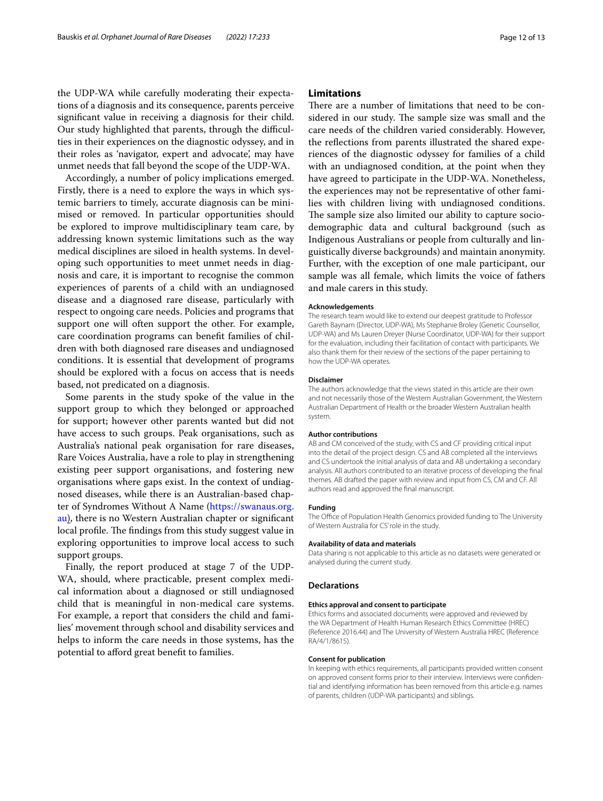the UDP-WA while carefully moderating their expectations of a diagnosis and its consequence, parents perceive signifcant value in receiving a diagnosis for their child. Our study highlighted that parents, through the difficulties in their experiences on the diagnostic odyssey, and in their roles as 'navigator, expert and advocate', may have unmet needs that fall beyond the scope of the UDP-WA.

Accordingly, a number of policy implications emerged. Firstly, there is a need to explore the ways in which systemic barriers to timely, accurate diagnosis can be minimised or removed. In particular opportunities should be explored to improve multidisciplinary team care, by addressing known systemic limitations such as the way medical disciplines are siloed in health systems. In developing such opportunities to meet unmet needs in diagnosis and care, it is important to recognise the common experiences of parents of a child with an undiagnosed disease and a diagnosed rare disease, particularly with respect to ongoing care needs. Policies and programs that support one will often support the other. For example, care coordination programs can beneft families of children with both diagnosed rare diseases and undiagnosed conditions. It is essential that development of programs should be explored with a focus on access that is needs based, not predicated on a diagnosis.

Some parents in the study spoke of the value in the support group to which they belonged or approached for support; however other parents wanted but did not have access to such groups. Peak organisations, such as Australia's national peak organisation for rare diseases, Rare Voices Australia, have a role to play in strengthening existing peer support organisations, and fostering new organisations where gaps exist. In the context of undiagnosed diseases, while there is an Australian-based chapter of Syndromes Without A Name [\(https://swanaus.org.](https://swanaus.org.au) [au](https://swanaus.org.au)), there is no Western Australian chapter or signifcant local profile. The findings from this study suggest value in exploring opportunities to improve local access to such support groups.

Finally, the report produced at stage 7 of the UDP-WA, should, where practicable, present complex medical information about a diagnosed or still undiagnosed child that is meaningful in non-medical care systems. For example, a report that considers the child and families' movement through school and disability services and helps to inform the care needs in those systems, has the potential to aford great beneft to families.

## **Limitations**

There are a number of limitations that need to be considered in our study. The sample size was small and the care needs of the children varied considerably. However, the refections from parents illustrated the shared experiences of the diagnostic odyssey for families of a child with an undiagnosed condition, at the point when they have agreed to participate in the UDP-WA. Nonetheless, the experiences may not be representative of other families with children living with undiagnosed conditions. The sample size also limited our ability to capture sociodemographic data and cultural background (such as Indigenous Australians or people from culturally and linguistically diverse backgrounds) and maintain anonymity. Further, with the exception of one male participant, our sample was all female, which limits the voice of fathers and male carers in this study.

#### **Acknowledgements**

The research team would like to extend our deepest gratitude to Professor Gareth Baynam (Director, UDP-WA), Ms Stephanie Broley (Genetic Counsellor, UDP-WA) and Ms Lauren Dreyer (Nurse Coordinator, UDP-WA) for their support for the evaluation, including their facilitation of contact with participants. We also thank them for their review of the sections of the paper pertaining to how the UDP-WA operates.

#### **Disclaimer**

The authors acknowledge that the views stated in this article are their own and not necessarily those of the Western Australian Government, the Western Australian Department of Health or the broader Western Australian health system.

#### **Author contributions**

AB and CM conceived of the study, with CS and CF providing critical input into the detail of the project design. CS and AB completed all the interviews and CS undertook the initial analysis of data and AB undertaking a secondary analysis. All authors contributed to an iterative process of developing the fnal themes. AB drafted the paper with review and input from CS, CM and CF. All authors read and approved the fnal manuscript.

#### **Funding**

The Office of Population Health Genomics provided funding to The University of Western Australia for CS' role in the study.

#### **Availability of data and materials**

Data sharing is not applicable to this article as no datasets were generated or analysed during the current study.

#### **Declarations**

#### **Ethics approval and consent to participate**

Ethics forms and associated documents were approved and reviewed by the WA Department of Health Human Research Ethics Committee (HREC) (Reference 2016.44) and The University of Western Australia HREC (Reference RA/4/1/8615).

#### **Consent for publication**

In keeping with ethics requirements, all participants provided written consent on approved consent forms prior to their interview. Interviews were confdential and identifying information has been removed from this article e.g. names of parents, children (UDP-WA participants) and siblings.